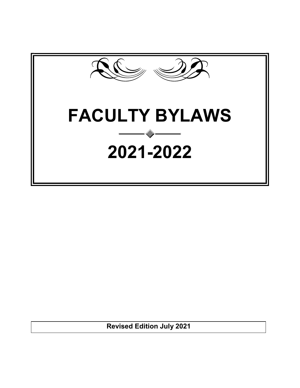

**Revised Edition July 2021**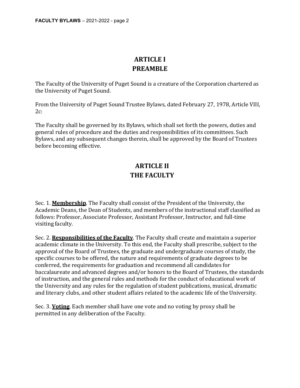## **ARTICLE I PREAMBLE**

The Faculty of the University of Puget Sound is a creature of the Corporation chartered as the University of Puget Sound.

From the University of Puget Sound Trustee Bylaws, dated February 27, 1978, Article VIII,  $2c$ :

The Faculty shall be governed by its Bylaws, which shall set forth the powers, duties and general rules of procedure and the duties and responsibilities of its committees. Such Bylaws, and any subsequent changes therein, shall be approved by the Board of Trustees before becoming effective.

# **ARTICLE II THE FACULTY**

Sec. 1. **Membership**. The Faculty shall consist of the President of the University, the Academic Deans, the Dean of Students, and members of the instructional staff classified as follows: Professor, Associate Professor, Assistant Professor, Instructor, and full-time visiting faculty.

Sec. 2. **Responsibilities of the Faculty**. The Faculty shall create and maintain a superior academic climate in the University. To this end, the Faculty shall prescribe, subject to the approval of the Board of Trustees, the graduate and undergraduate courses of study, the specific courses to be offered, the nature and requirements of graduate degrees to be conferred, the requirements for graduation and recommend all candidates for baccalaureate and advanced degrees and/or honors to the Board of Trustees, the standards of instruction, and the general rules and methods for the conduct of educational work of the University and any rules for the regulation of student publications, musical, dramatic and literary clubs, and other student affairs related to the academic life of the University.

Sec. 3. **Voting**. Each member shall have one vote and no voting by proxy shall be permitted in any deliberation of the Faculty.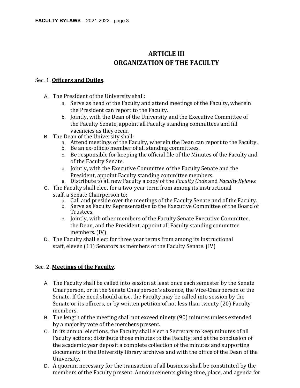# **ARTICLE III ORGANIZATION OF THE FACULTY**

### Sec. 1. **Officers and Duties**.

- A. The President of the University shall:
	- a. Serve as head of the Faculty and attend meetings of the Faculty, wherein the President can report to the Faculty.
	- b. Jointly, with the Dean of the University and the Executive Committee of the Faculty Senate, appoint all Faculty standing committees and fill vacancies as theyoccur.
- B. The Dean of the University shall:
	- a. Attend meetings of the Faculty, wherein the Dean can report to the Faculty.
	- b. Be an ex-officio member of all standing committees.
	- c. Be responsible for keeping the official file of the Minutes of the Faculty and of the Faculty Senate.
	- d. Jointly, with the Executive Committee of the Faculty Senate and the President, appoint Faculty standing committee members.
	- e. Distribute to all new Faculty a copy of the *Faculty Code* and *FacultyBylaws*.
- C. The Faculty shall elect for a two-year term from among its instructional staff, a Senate Chairperson to:
	- a. Call and preside over the meetings of the Faculty Senate and of the Faculty.
	- b. Serve as Faculty Representative to the Executive Committee of the Board of Trustees.
	- c. Jointly, with other members of the Faculty Senate Executive Committee, the Dean, and the President, appoint all Faculty standing committee members. (IV)
- D. The Faculty shall elect for three year terms from among its instructional staff, eleven (11) Senators as members of the Faculty Senate. (IV)

### Sec. 2. **Meetings of the Faculty**.

- A. The Faculty shall be called into session at least once each semester by the Senate Chairperson, or in the Senate Chairperson's absence, the Vice-Chairperson of the Senate. If the need should arise, the Faculty may be called into session by the Senate or its officers, or by written petition of not less than twenty (20) Faculty members.
- B. The length of the meeting shall not exceed ninety (90) minutes unless extended by a majority vote of the members present.
- C. In its annual elections, the Faculty shall elect a Secretary to keep minutes of all Faculty actions; distribute those minutes to the Faculty; and at the conclusion of the academic year deposit a complete collection of the minutes and supporting documents in the University library archives and with the office of the Dean of the University.
- D. A quorum necessary for the transaction of all business shall be constituted by the members of the Faculty present. Announcements giving time, place, and agenda for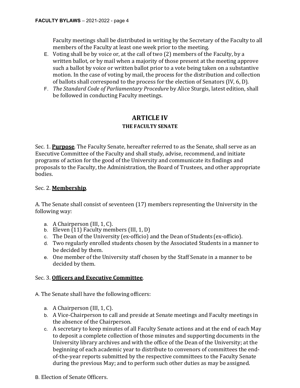Faculty meetings shall be distributed in writing by the Secretary of the Faculty to all members of the Faculty at least one week prior to the meeting.

- E. Voting shall be by voice or, at the call of two (2) members of the Faculty, by a written ballot, or by mail when a majority of those present at the meeting approve such a ballot by voice or written ballot prior to a vote being taken on a substantive motion. In the case of voting by mail, the process for the distribution and collection of ballots shall correspond to the process for the election of Senators (IV, 6, D).
- F. *The Standard Code of Parliamentary Procedure* by Alice Sturgis, latest edition, shall be followed in conducting Faculty meetings.

## **ARTICLE IV THE FACULTY SENATE**

Sec. 1. **Purpose**. The Faculty Senate, hereafter referred to as the Senate, shall serve as an Executive Committee of the Faculty and shall study, advise, recommend, and initiate programs of action for the good of the University and communicate its findings and proposals to the Faculty, the Administration, the Board of Trustees, and other appropriate bodies.

### Sec. 2. **Membership**.

A. The Senate shall consist of seventeen (17) members representing the University in the following way:

- a. A Chairperson (III, 1, C).
- b. Eleven  $(11)$  Faculty members  $(III, 1, D)$
- c. The Dean of the University (ex-officio) and the Dean of Students (ex-officio).
- d. Two regularly enrolled students chosen by the Associated Students in a manner to be decided by them.
- e. One member of the University staff chosen by the Staff Senate in a manner to be decided by them.

### Sec. 3. **Officers and Executive Committee**.

- A. The Senate shall have the following officers:
	- a. A Chairperson (III, 1, C).
	- b. A Vice-Chairperson to call and preside at Senate meetings and Faculty meetings in the absence of the Chairperson.
	- c. A secretary to keep minutes of all Faculty Senate actions and at the end of each May to deposit a complete collection of those minutes and supporting documents in the University library archives and with the office of the Dean of the University; at the beginning of each academic year to distribute to convenors of committees the endof-the-year reports submitted by the respective committees to the Faculty Senate during the previous May; and to perform such other duties as may be assigned.
- B. Election of Senate Officers.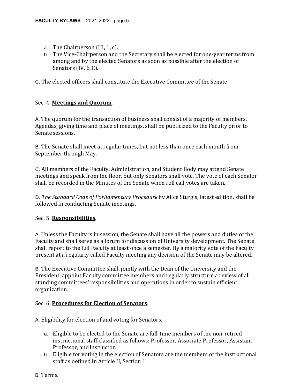- a. The Chairperson (III, 1, c).
- b. The Vice-Chairperson and the Secretary shall be elected for one-year terms from among and by the elected Senators as soon as possible after the election of Senators (IV, 6, C).

C. The elected officers shall constitute the Executive Committee of the Senate.

## Sec. 4. **Meetings and Quorum**.

A. The quorum for the transaction of business shall consist of a majority of members. Agendas, giving time and place of meetings, shall be publicized to the Faculty prior to Senatesessions.

B. The Senate shall meet at regular times, but not less than once each month from September through May.

C. All members of the Faculty, Administration, and Student Body may attend Senate meetings and speak from the floor, but only Senators shall vote. The vote of each Senator shall be recorded in the Minutes of the Senate when roll call votes are taken.

D. *The Standard Code of Parliamentary Procedure* by Alice Sturgis, latest edition, shall be followed in conducting Senate meetings.

### Sec. 5. **Responsibilities**.

A. Unless the Faculty is in session, the Senate shall have all the powers and duties of the Faculty and shall serve as a forum for discussion of University development. The Senate shall report to the full Faculty at least once a semester. By a majority vote of the Faculty present at a regularly called Faculty meeting any decision of the Senate may be altered.

B. The Executive Committee shall, jointly with the Dean of the University and the President, appoint Faculty committee members and regularly structure a review of all standing committees' responsibilities and operations in order to sustain efficient organization.

### Sec. 6. **Procedures for Election of Senators**.

A. Eligibility for election of and voting for Senators.

- a. Eligible to be elected to the Senate are full-time members of the non-retired instructional staff classified as follows: Professor, Associate Professor, Assistant Professor, and Instructor.
- b. Eligible for voting in the election of Senators are the members of the instructional staff as defined in Article II, Section 1.
- B. Terms.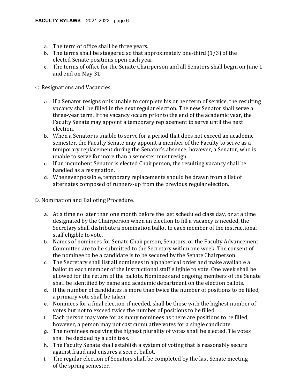- a. The term of office shall be three years.
- b. The terms shall be staggered so that approximately one-third (1/3) of the elected Senate positions open each year.
- c. The terms of office for the Senate Chairperson and all Senators shall begin on June 1 and end on May 31.

C. Resignations and Vacancies.

- a. If a Senator resigns or is unable to complete his or her term of service, the resulting vacancy shall be filled in the next regular election. The new Senator shall serve a three-year term. If the vacancy occurs prior to the end of the academic year, the Faculty Senate may appoint a temporary replacement to serve until the next election.
- b. When a Senator is unable to serve for a period that does not exceed an academic semester, the Faculty Senate may appoint a member of the Faculty to serve as a temporary replacement during the Senator's absence; however, a Senator, who is unable to serve for more than a semester must resign.
- c. If an incumbent Senator is elected Chairperson, the resulting vacancy shall be handled as a resignation.
- d. Whenever possible, temporary replacements should be drawn from a list of alternates composed of runners-up from the previous regular election.

D. Nomination and Balloting Procedure.

- a. At a time no later than one month before the last scheduled class day, or at a time designated by the Chairperson when an election to fill a vacancy is needed, the Secretary shall distribute a nomination ballot to each member of the instructional staff eligible to vote.
- b. Names of nominees for Senate Chairperson, Senators, or the Faculty Advancement Committee are to be submitted to the Secretary within one week. The consent of the nominee to be a candidate is to be secured by the Senate Chairperson.
- c. The Secretary shall list all nominees in alphabetical order and make available a ballot to each member of the instructional staff eligible to vote. One week shall be allowed for the return of the ballots. Nominees and ongoing members of the Senate shall be identified by name and academic department on the election ballots.
- d. If the number of candidates is more than twice the number of positions to be filled, a primary vote shall be taken.
- e. Nominees for a final election, if needed, shall be those with the highest number of votes but not to exceed twice the number of positions to be filled.
- f. Each person may vote for as many nominees as there are positions to be filled; however, a person may not cast cumulative votes for a single candidate.
- g. The nominees receiving the highest plurality of votes shall be elected. Tie votes shall be decided by a coin toss.
- h. The Faculty Senate shall establish a system of voting that is reasonably secure against fraud and ensures a secret ballot.
- i. The regular election of Senators shall be completed by the last Senate meeting of the spring semester.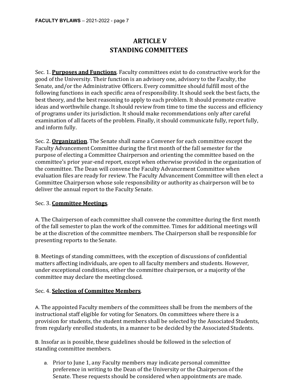# **ARTICLE V STANDING COMMITTEES**

Sec. 1. **Purposes and Functions**. Faculty committees exist to do constructive work for the good of the University. Their function is an advisory one, advisory to the Faculty, the Senate, and/or the Administrative Officers. Every committee should fulfill most of the following functions in each specific area of responsibility. It should seek the best facts, the best theory, and the best reasoning to apply to each problem. It should promote creative ideas and worthwhile change. It should review from time to time the success and efficiency of programs under its jurisdiction. It should make recommendations only after careful examination of all facets of the problem. Finally, it should communicate fully, report fully, and inform fully.

Sec. 2. **Organization**. The Senate shall name a Convener for each committee except the Faculty Advancement Committee during the first month of the fall semester for the purpose of electing a Committee Chairperson and orienting the committee based on the committee's prior year-end report, except when otherwise provided in the organization of the committee. The Dean will convene the Faculty Advancement Committee when evaluation files are ready for review. The Faculty Advancement Committee will then elect a Committee Chairperson whose sole responsibility or authority as chairperson will be to deliver the annual report to the Faculty Senate.

### Sec. 3. **Committee Meetings**.

A. The Chairperson of each committee shall convene the committee during the first month of the fall semester to plan the work of the committee. Times for additional meetings will be at the discretion of the committee members. The Chairperson shall be responsible for presenting reports to the Senate.

B. Meetings of standing committees, with the exception of discussions of confidential matters affecting individuals, are open to all faculty members and students. However, under exceptional conditions, either the committee chairperson, or a majority of the committee may declare the meeting closed.

### Sec. 4. **Selection of Committee Members**.

A. The appointed Faculty members of the committees shall be from the members of the instructional staff eligible for voting for Senators. On committees where there is a provision for students, the student members shall be selected by the Associated Students, from regularly enrolled students, in a manner to be decided by the Associated Students.

B. Insofar as is possible, these guidelines should be followed in the selection of standing committee members.

a. Prior to June 1, any Faculty members may indicate personal committee preference in writing to the Dean of the University or the Chairperson of the Senate. These requests should be considered when appointments are made.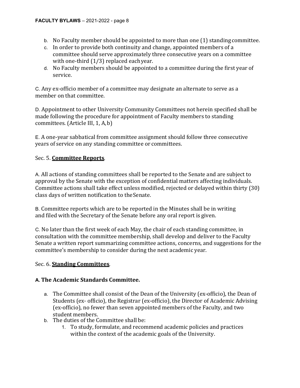- b. No Faculty member should be appointed to more than one (1) standing committee.
- c. In order to provide both continuity and change, appointed members of a committee should serve approximately three consecutive years on a committee with one-third (1/3) replaced eachyear.
- d. No Faculty members should be appointed to a committee during the first year of service.

C. Any ex-officio member of a committee may designate an alternate to serve as a member on that committee.

D. Appointment to other University Community Committees not herein specified shall be made following the procedure for appointment of Faculty members to standing committees. (Article III, 1, A,b)

E. A one-year sabbatical from committee assignment should follow three consecutive years of service on any standing committee or committees.

## Sec. 5. **Committee Reports**.

A. All actions of standing committees shall be reported to the Senate and are subject to approval by the Senate with the exception of confidential matters affecting individuals. Committee actions shall take effect unless modified, rejected or delayed within thirty (30) class days of written notification to theSenate.

B. Committee reports which are to be reported in the Minutes shall be in writing and filed with the Secretary of the Senate before any oral report is given.

C. No later than the first week of each May, the chair of each standing committee, in consultation with the committee membership, shall develop and deliver to the Faculty Senate a written report summarizing committee actions, concerns, and suggestions for the committee's membership to consider during the next academic year.

### Sec. 6. **Standing Committees**.

### **A. The Academic Standards Committee.**

- a. The Committee shall consist of the Dean of the University (ex-officio), the Dean of Students (ex- officio), the Registrar (ex-officio), the Director of Academic Advising (ex-officio), no fewer than seven appointed members of the Faculty, and two student members.
- b. The duties of the Committee shall be:
	- 1. To study, formulate, and recommend academic policies and practices within the context of the academic goals of the University.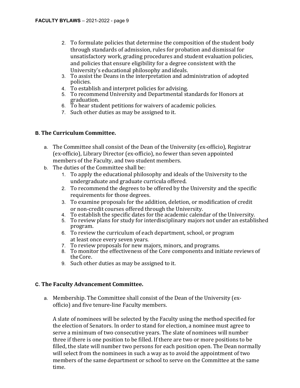- 2. To formulate policies that determine the composition of the student body through standards of admission, rules for probation and dismissal for unsatisfactory work, grading procedures and student evaluation policies, and policies that ensure eligibility for a degree consistent with the University's educational philosophy and ideals.
- 3. To assist the Deans in the interpretation and administration of adopted policies.
- 4. To establish and interpret policies for advising.
- 5. To recommend University and Departmental standards for Honors at graduation.
- 6. To hear student petitions for waivers of academic policies.
- 7. Such other duties as may be assigned to it.

#### **B. The Curriculum Committee.**

- a. The Committee shall consist of the Dean of the University (ex-officio), Registrar (ex-officio), Library Director (ex-officio), no fewer than seven appointed members of the Faculty, and two student members.
- b. The duties of the Committee shall be:
	- 1. To apply the educational philosophy and ideals of the University to the undergraduate and graduate curricula offered.
	- 2. To recommend the degrees to be offered by the University and the specific requirements for those degrees.
	- 3. To examine proposals for the addition, deletion, or modification of credit or non-credit courses offered through the University.
	- 4. To establish the specific dates for the academic calendar of the University.
	- 5. To review plans for study for interdisciplinary majors not under an established program.
	- 6. To review the curriculum of each department, school, or program at least once every seven years.
	- 7. To review proposals for new majors, minors, and programs.
	- 8. To monitor the effectiveness of the Core components and initiate reviews of theCore.
	- 9. Such other duties as may be assigned to it.

### **C. The Faculty Advancement Committee.**

a. Membership. The Committee shall consist of the Dean of the University (exofficio) and five tenure-line Faculty members.

A slate of nominees will be selected by the Faculty using the method specified for the election of Senators. In order to stand for election, a nominee must agree to serve a minimum of two consecutive years. The slate of nominees will number three if there is one position to be filled. If there are two or more positions to be filled, the slate will number two persons for each position open. The Dean normally will select from the nominees in such a way as to avoid the appointment of two members of the same department or school to serve on the Committee at the same time.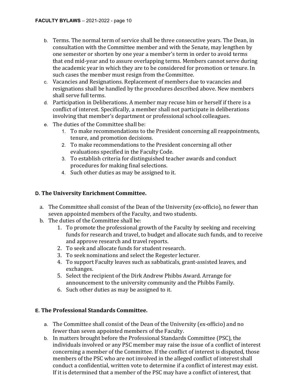- b. Terms. The normal term of service shall be three consecutive years. The Dean, in consultation with the Committee member and with the Senate, may lengthen by one semester or shorten by one year a member's term in order to avoid terms that end mid-year and to assure overlapping terms. Members cannot serve during the academic year in which they are to be considered for promotion or tenure. In such cases the member must resign from the Committee.
- c. Vacancies and Resignations. Replacement of members due to vacancies and resignations shall be handled by the procedures described above. New members shall serve full terms.
- d. Participation in Deliberations. A member may recuse him or herself if there is a conflict of interest. Specifically, a member shall not participate in deliberations involving that member's department or professional school colleagues.
- e. The duties of the Committee shall be:
	- 1. To make recommendations to the President concerning all reappointments, tenure, and promotion decisions.
	- 2. To make recommendations to the President concerning all other evaluations specified in the Faculty Code.
	- 3. To establish criteria for distinguished teacher awards and conduct procedures for making final selections.
	- 4. Such other duties as may be assigned to it.

## **D. The University Enrichment Committee.**

- a. The Committee shall consist of the Dean of the University (ex-officio), no fewer than seven appointed members of the Faculty, and two students.
- b. The duties of the Committee shall be:
	- 1. To promote the professional growth of the Faculty by seeking and receiving funds for research and travel, to budget and allocate such funds, and to receive and approve research and travel reports.
	- 2. To seek and allocate funds for student research.
	- 3. To seek nominations and select the Regester lecturer.
	- 4. To support Faculty leaves such as sabbaticals, grant-assisted leaves, and exchanges.
	- 5. Select the recipient of the Dirk Andrew Phibbs Award. Arrange for announcement to the university community and the Phibbs Family.
	- 6. Such other duties as may be assigned to it.

### **E. The Professional Standards Committee.**

- a. The Committee shall consist of the Dean of the University (ex-officio) and no fewer than seven appointed members of the Faculty.
- b. In matters brought before the Professional Standards Committee (PSC), the individuals involved or any PSC member may raise the issue of a conflict of interest concerning a member of the Committee. If the conflict of interest is disputed, those members of the PSC who are not involved in the alleged conflict of interest shall conduct a confidential, written vote to determine if a conflict of interest may exist. If it is determined that a member of the PSC may have a conflict of interest, that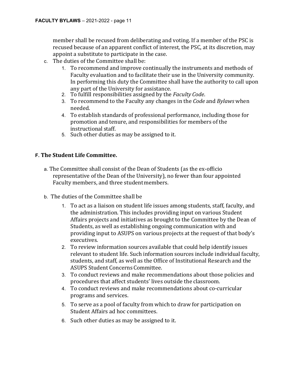member shall be recused from deliberating and voting. If a member of the PSC is recused because of an apparent conflict of interest, the PSC, at its discretion, may appoint a substitute to participate in the case.

- c. The duties of the Committee shall be:
	- 1. To recommend and improve continually the instruments and methods of Faculty evaluation and to facilitate their use in the University community. In performing this duty the Committee shall have the authority to call upon any part of the University for assistance.
	- 2. To fulfill responsibilities assigned by the *Faculty Code*.
	- 3. To recommend to the Faculty any changes in the *Code* and *Bylaws* when needed.
	- 4. To establish standards of professional performance, including those for promotion and tenure, and responsibilities for members of the instructional staff.
	- 5. Such other duties as may be assigned to it.

## **F. The Student Life Committee.**

- a. The Committee shall consist of the Dean of Students (as the ex-officio representative of the Dean of the University), no fewer than four appointed Faculty members, and three studentmembers.
- b. The duties of the Committee shall be
	- 1. To act as a liaison on student life issues among students, staff, faculty, and the administration. This includes providing input on various Student Affairs projects and initiatives as brought to the Committee by the Dean of Students, as well as establishing ongoing communication with and providing input to ASUPS on various projects at the request of that body's executives.
	- 2. To review information sources available that could help identify issues relevant to student life. Such information sources include individual faculty, students, and staff, as well as the Office of Institutional Research and the ASUPS Student ConcernsCommittee.
	- 3. To conduct reviews and make recommendations about those policies and procedures that affect students' lives outside the classroom.
	- 4. To conduct reviews and make recommendations about co-curricular programs and services.
	- 5. To serve as a pool of faculty from which to draw for participation on Student Affairs ad hoc committees.
	- 6. Such other duties as may be assigned to it.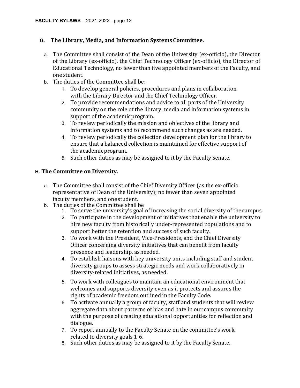## **G. The Library, Media, and Information SystemsCommittee.**

- a. The Committee shall consist of the Dean of the University (ex-officio), the Director of the Library (ex-officio), the Chief Technology Officer (ex-officio), the Director of Educational Technology, no fewer than five appointed members of the Faculty, and one student.
- b. The duties of the Committee shall be:
	- 1. To develop general policies, procedures and plans in collaboration with the Library Director and the Chief Technology Officer.
	- 2. To provide recommendations and advice to all parts of the University community on the role of the library, media and information systems in support of the academicprogram.
	- 3. To review periodically the mission and objectives of the library and information systems and to recommend such changes as are needed.
	- 4. To review periodically the collection development plan for the library to ensure that a balanced collection is maintained for effective support of the academicprogram.
	- 5. Such other duties as may be assigned to it by the Faculty Senate.

## **H. The Committee on Diversity.**

- a. The Committee shall consist of the Chief Diversity Officer (as the ex-officio representative of Dean of the University); no fewer than seven appointed faculty members, and onestudent.
- b. The duties of the Committee shall be
	- 1. To serve the university's goal of increasing the social diversity of the campus.
	- 2. To participate in the development of initiatives that enable the university to hire new faculty from historically under-represented populations and to support better the retention and success of such faculty.
	- 3. To work with the President, Vice-Presidents, and the Chief Diversity Officer concerning diversity initiatives that can benefit from faculty presence and leadership, asneeded.
	- 4. To establish liaisons with key university units including staff and student diversity groups to assess strategic needs and work collaboratively in diversity-related initiatives, as needed.
	- 5. To work with colleagues to maintain an educational environment that welcomes and supports diversity even as it protects and assures the rights of academic freedom outlined in the Faculty Code.
	- 6. To activate annually a group of faculty, staff and students that will review aggregate data about patterns of bias and hate in our campus community with the purpose of creating educational opportunities for reflection and dialogue.
	- 7. To report annually to the Faculty Senate on the committee's work related to diversity goals 1-6.
	- 8. Such other duties as may be assigned to it by the Faculty Senate.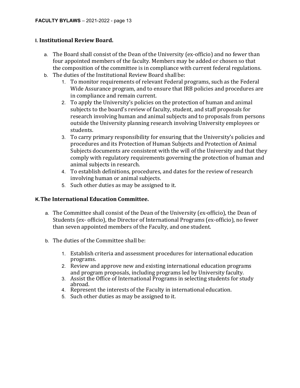### **I. Institutional Review Board.**

- a. The Board shall consist of the Dean of the University (ex-officio) and no fewer than four appointed members of the faculty. Members may be added or chosen so that the composition of the committee is in compliance with current federal regulations.
- b. The duties of the Institutional Review Board shall be:
	- 1. To monitor requirements of relevant Federal programs, such as the Federal Wide Assurance program, and to ensure that IRB policies and procedures are in compliance and remain current.
	- 2. To apply the University's policies on the protection of human and animal subjects to the board's review of faculty, student, and staff proposals for research involving human and animal subjects and to proposals from persons outside the University planning research involving University employees or students.
	- 3. To carry primary responsibility for ensuring that the University's policies and procedures and its Protection of Human Subjects and Protection of Animal Subjects documents are consistent with the will of the University and that they comply with regulatory requirements governing the protection of human and animal subjects in research.
	- 4. To establish definitions, procedures, and dates for the review of research involving human or animal subjects.
	- 5. Such other duties as may be assigned to it.

### **K.The International Education Committee.**

- a. The Committee shall consist of the Dean of the University (ex-officio), the Dean of Students (ex- officio), the Director of International Programs (ex-officio), no fewer than seven appointed members of the Faculty, and one student.
- b. The duties of the Committee shall be:
	- 1. Establish criteria and assessment procedures for international education programs.
	- 2. Review and approve new and existing international education programs and program proposals, including programs led by University faculty.
	- 3. Assist the Office of International Programs in selecting students for study abroad.
	- 4. Represent the interests of the Faculty in international education.
	- 5. Such other duties as may be assigned to it.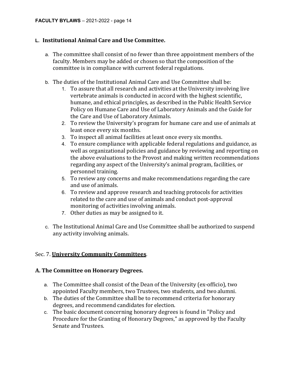#### **L. Institutional Animal Care and Use Committee.**

- a. The committee shall consist of no fewer than three appointment members of the faculty. Members may be added or chosen so that the composition of the committee is in compliance with current federal regulations.
- b. The duties of the Institutional Animal Care and Use Committee shall be:
	- 1. To assure that all research and activities at the University involving live vertebrate animals is conducted in accord with the highest scientific, humane, and ethical principles, as described in the Public Health Service Policy on Humane Care and Use of Laboratory Animals and the Guide for the Care and Use of Laboratory Animals.
	- 2. To review the University's program for humane care and use of animals at least once every six months.
	- 3. To inspect all animal facilities at least once every six months.
	- 4. To ensure compliance with applicable federal regulations and guidance, as well as organizational policies and guidance by reviewing and reporting on the above evaluations to the Provost and making written recommendations regarding any aspect of the University's animal program, facilities, or personnel training.
	- 5. To review any concerns and make recommendations regarding the care and use of animals.
	- 6. To review and approve research and teaching protocols for activities related to the care and use of animals and conduct post-approval monitoring of activities involving animals.
	- 7. Other duties as may be assigned to it.
- c. The Institutional Animal Care and Use Committee shall be authorized to suspend any activity involving animals.

#### Sec. 7. **University Community Committees**.

#### **A. The Committee on Honorary Degrees.**

- a. The Committee shall consist of the Dean of the University (ex-officio), two appointed Faculty members, two Trustees, two students, and two alumni.
- b. The duties of the Committee shall be to recommend criteria for honorary degrees, and recommend candidates for election.
- c. The basic document concerning honorary degrees is found in "Policy and Procedure for the Granting of Honorary Degrees," as approved by the Faculty Senate and Trustees.